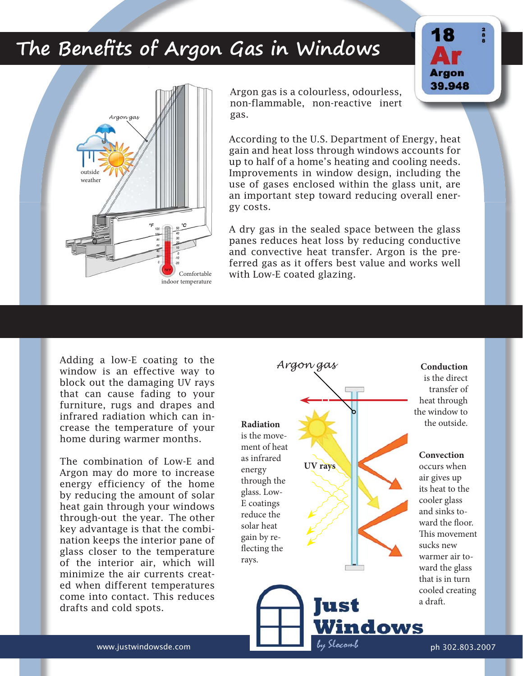## The Benefits of Argon Gas in Windows



Argon gas is a colourless, odourless, non-flammable, non-reactive inert gas.

According to the U.S. Department of Energy, heat gain and heat loss through windows accounts for up to half of a home's heating and cooling needs. Improvements in window design, including the use of gases enclosed within the glass unit, are an important step toward reducing overall energy costs.

A dry gas in the sealed space between the glass panes reduces heat loss by reducing conductive and convective heat transfer. Argon is the preferred gas as it offers best value and works well with Low-E coated glazing.

Adding a low-E coating to the window is an effective way to block out the damaging UV rays that can cause fading to your furniture, rugs and drapes and infrared radiation which can increase the temperature of your home during warmer months.

The combination of Low-E and Argon may do more to increase energy efficiency of the home by reducing the amount of solar heat gain through your windows through-out the year. The other key advantage is that the combination keeps the interior pane of glass closer to the temperature of the interior air, which will minimize the air currents created when different temperatures come into contact. This reduces drafts and cold spots.



**Conduction**  is the direct transfer of heat through

**Argon** 39.948

occurs when air gives up its heat to the cooler glass and sinks toward the floor. This movement sucks new warmer air toward the glass that is in turn cooled creating co a draft.